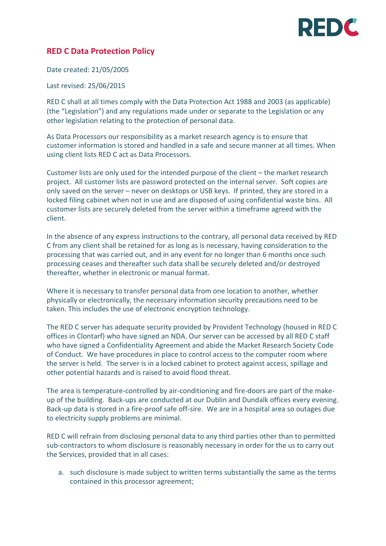## **PEDC**

## **RED C Data Protection Policy**

Date created: 21/05/2005

Last revised: 25/06/2015

RED C shall at all times comply with the Data Protection Act 1988 and 2003 (as applicable) (the "Legislation") and any regulations made under or separate to the Legislation or any other legislation relating to the protection of personal data.

As Data Processors our responsibility as a market research agency is to ensure that customer information is stored and handled in a safe and secure manner at all times. When using client lists RED C act as Data Processors.

Customer lists are only used for the intended purpose of the client – the market research project. All customer lists are password protected on the internal server. Soft copies are only saved on the server – never on desktops or USB keys. If printed, they are stored in a locked filing cabinet when not in use and are disposed of using confidential waste bins. All customer lists are securely deleted from the server within a timeframe agreed with the client.

In the absence of any express instructions to the contrary, all personal data received by RED C from any client shall be retained for as long as is necessary, having consideration to the processing that was carried out, and in any event for no longer than 6 months once such processing ceases and thereafter such data shall be securely deleted and/or destroyed thereafter, whether in electronic or manual format.

Where it is necessary to transfer personal data from one location to another, whether physically or electronically, the necessary information security precautions need to be taken. This includes the use of electronic encryption technology.

The RED C server has adequate security provided by Provident Technology (housed in RED C offices in Clontarf) who have signed an NDA. Our server can be accessed by all RED C staff who have signed a Confidentiality Agreement and abide the Market Research Society Code of Conduct. We have procedures in place to control access to the computer room where the server is held. The server is in a locked cabinet to protect against access, spillage and other potential hazards and is raised to avoid flood threat.

The area is temperature-controlled by air-conditioning and fire-doors are part of the makeup of the building. Back-ups are conducted at our Dublin and Dundalk offices every evening. Back-up data is stored in a fire-proof safe off-sire. We are in a hospital area so outages due to electricity supply problems are minimal.

RED C will refrain from disclosing personal data to any third parties other than to permitted sub-contractors to whom disclosure is reasonably necessary in order for the us to carry out the Services, provided that in all cases:

a. such disclosure is made subject to written terms substantially the same as the terms contained in this processor agreement;